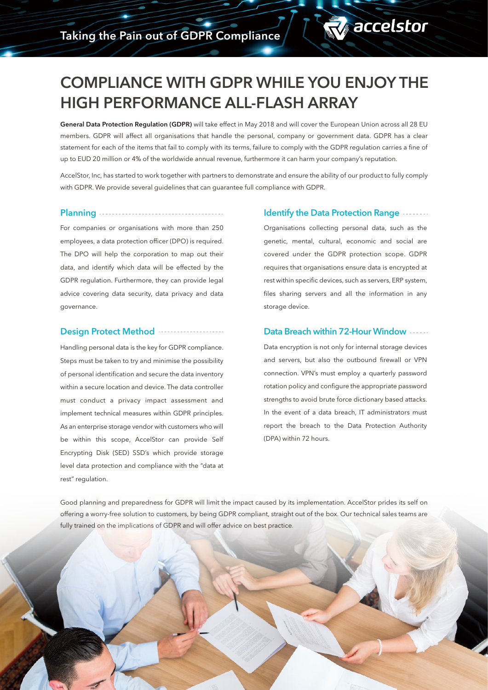# COMPLIANCE WITH GDPR WHILE YOU ENJOY THE HIGH PERFORMANCE ALL-FLASH ARRAY

General Data Protection Regulation (GDPR) will take effect in May 2018 and will cover the European Union across all 28 EU members. GDPR will affect all organisations that handle the personal, company or government data. GDPR has a clear statement for each of the items that fail to comply with its terms, failure to comply with the GDPR regulation carries a fine of up to EUD 20 million or 4% of the worldwide annual revenue, furthermore it can harm your company's reputation.

AccelStor, Inc, has started to work together with partners to demonstrate and ensure the ability of our product to fully comply with GDPR. We provide several guidelines that can guarantee full compliance with GDPR.

# **Planning ..................**

For companies or organisations with more than 250 employees, a data protection officer (DPO) is required. The DPO will help the corporation to map out their data, and identify which data will be effected by the GDPR regulation. Furthermore, they can provide legal advice covering data security, data privacy and data governance.

#### Design Protect Method

Handling personal data is the key for GDPR compliance. Steps must be taken to try and minimise the possibility of personal identification and secure the data inventory within a secure location and device. The data controller must conduct a privacy impact assessment and implement technical measures within GDPR principles. As an enterprise storage vendor with customers who will be within this scope, AccelStor can provide Self Encrypting Disk (SED) SSD's which provide storage level data protection and compliance with the "data at rest" regulation.

#### Identify the Data Protection Range

**T** accelstor

Organisations collecting personal data, such as the genetic, mental, cultural, economic and social are covered under the GDPR protection scope. GDPR requires that organisations ensure data is encrypted at rest within specific devices, such as servers, ERP system, files sharing servers and all the information in any storage device.

### Data Breach within 72-Hour Window **Fig. 2.**

Data encryption is not only for internal storage devices and servers, but also the outbound firewall or VPN connection. VPN's must employ a quarterly password rotation policy and configure the appropriate password strengths to avoid brute force dictionary based attacks. In the event of a data breach, IT administrators must report the breach to the Data Protection Authority (DPA) within 72 hours.

Good planning and preparedness for GDPR will limit the impact caused by its implementation. AccelStor prides its self on offering a worry-free solution to customers, by being GDPR compliant, straight out of the box. Our technical sales teams are fully trained on the implications of GDPR and will offer advice on best practice.